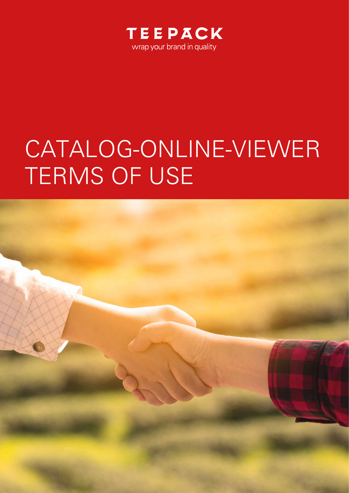

## CATALOG-ONLINE-VIEWER TERMS OF USE

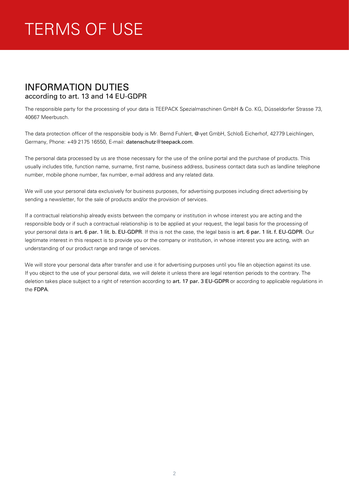## TERMS OF USE

## INFORMATION DUTIES according to art. 13 and 14 EU-GDPR

The responsible party for the processing of your data is TEEPACK Spezialmaschinen GmbH & Co. KG, Düsseldorfer Strasse 73, 40667 Meerbusch.

The data protection officer of the responsible body is Mr. Bernd Fuhlert, @-yet GmbH, Schloß Eicherhof, 42779 Leichlingen, Germany, Phone: +49 2175 16550, E-mail: datenschutz@teepack.com.

The personal data processed by us are those necessary for the use of the online portal and the purchase of products. This usually includes title, function name, surname, first name, business address, business contact data such as landline telephone number, mobile phone number, fax number, e-mail address and any related data.

We will use your personal data exclusively for business purposes, for advertising purposes including direct advertising by sending a newsletter, for the sale of products and/or the provision of services.

If a contractual relationship already exists between the company or institution in whose interest you are acting and the responsible body or if such a contractual relationship is to be applied at your request, the legal basis for the processing of your personal data is art. 6 par. 1 lit. b. EU-GDPR. If this is not the case, the legal basis is art. 6 par. 1 lit. f. EU-GDPR. Our legitimate interest in this respect is to provide you or the company or institution, in whose interest you are acting, with an understanding of our product range and range of services.

We will store your personal data after transfer and use it for advertising purposes until you file an objection against its use. If you object to the use of your personal data, we will delete it unless there are legal retention periods to the contrary. The deletion takes place subject to a right of retention according to art. 17 par. 3 EU-GDPR or according to applicable regulations in the FDPA.